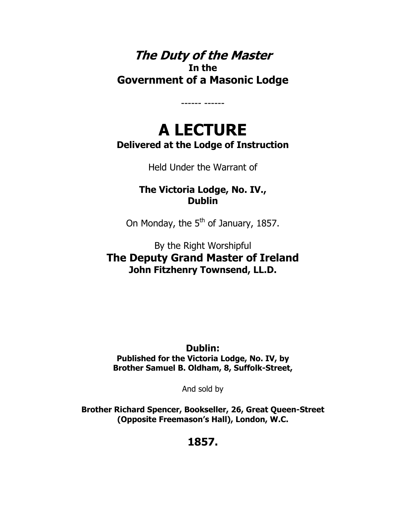## **The Duty of the Master In the Government of a Masonic Lodge**

# **A LECTURE Delivered at the Lodge of Instruction**

------ ------

Held Under the Warrant of

**The Victoria Lodge, No. IV., Dublin** 

On Monday, the  $5<sup>th</sup>$  of January, 1857.

By the Right Worshipful **The Deputy Grand Master of Ireland John Fitzhenry Townsend, LL.D.** 

#### **Dublin:**

**Published for the Victoria Lodge, No. IV, by Brother Samuel B. Oldham, 8, Suffolk-Street,**

And sold by

**Brother Richard Spencer, Bookseller, 26, Great Queen-Street (Opposite Freemason's Hall), London, W.C.** 

**1857.**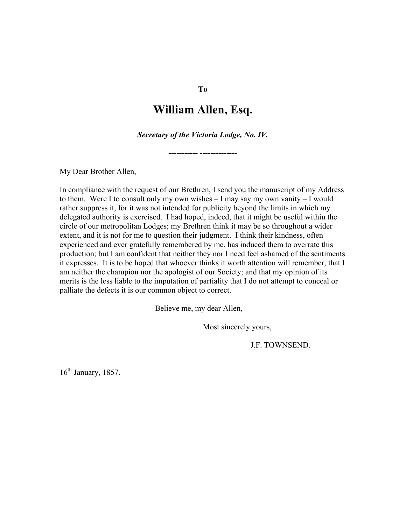#### **William Allen, Esq.**

*Secretary of the Victoria Lodge, No. IV.* 

**----------- --------------** 

My Dear Brother Allen,

In compliance with the request of our Brethren, I send you the manuscript of my Address to them. Were I to consult only my own wishes – I may say my own vanity – I would rather suppress it, for it was not intended for publicity beyond the limits in which my delegated authority is exercised. I had hoped, indeed, that it might be useful within the circle of our metropolitan Lodges; my Brethren think it may be so throughout a wider extent, and it is not for me to question their judgment. I think their kindness, often experienced and ever gratefully remembered by me, has induced them to overrate this production; but I am confident that neither they nor I need feel ashamed of the sentiments it expresses. It is to be hoped that whoever thinks it worth attention will remember, that I am neither the champion nor the apologist of our Society; and that my opinion of its merits is the less liable to the imputation of partiality that I do not attempt to conceal or palliate the defects it is our common object to correct.

Believe me, my dear Allen,

Most sincerely yours,

J.F. TOWNSEND.

16<sup>th</sup> January, 1857.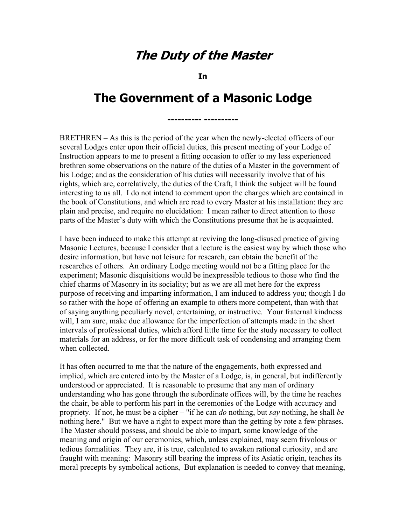## **The Duty of the Master**

**In** 

# **The Government of a Masonic Lodge**

**---------- ----------**

BRETHREN – As this is the period of the year when the newly-elected officers of our several Lodges enter upon their official duties, this present meeting of your Lodge of Instruction appears to me to present a fitting occasion to offer to my less experienced brethren some observations on the nature of the duties of a Master in the government of his Lodge; and as the consideration of his duties will necessarily involve that of his rights, which are, correlatively, the duties of the Craft, I think the subject will be found interesting to us all. I do not intend to comment upon the charges which are contained in the book of Constitutions, and which are read to every Master at his installation: they are plain and precise, and require no elucidation: I mean rather to direct attention to those parts of the Master's duty with which the Constitutions presume that he is acquainted.

I have been induced to make this attempt at reviving the long-disused practice of giving Masonic Lectures, because I consider that a lecture is the easiest way by which those who desire information, but have not leisure for research, can obtain the benefit of the researches of others. An ordinary Lodge meeting would not be a fitting place for the experiment; Masonic disquisitions would be inexpressible tedious to those who find the chief charms of Masonry in its sociality; but as we are all met here for the express purpose of receiving and imparting information, I am induced to address you; though I do so rather with the hope of offering an example to others more competent, than with that of saying anything peculiarly novel, entertaining, or instructive. Your fraternal kindness will, I am sure, make due allowance for the imperfection of attempts made in the short intervals of professional duties, which afford little time for the study necessary to collect materials for an address, or for the more difficult task of condensing and arranging them when collected.

It has often occurred to me that the nature of the engagements, both expressed and implied, which are entered into by the Master of a Lodge, is, in general, but indifferently understood or appreciated. It is reasonable to presume that any man of ordinary understanding who has gone through the subordinate offices will, by the time he reaches the chair, be able to perform his part in the ceremonies of the Lodge with accuracy and propriety. If not, he must be a cipher – "if he can *do* nothing, but *say* nothing, he shall *be* nothing here." But we have a right to expect more than the getting by rote a few phrases. The Master should possess, and should be able to impart, some knowledge of the meaning and origin of our ceremonies, which, unless explained, may seem frivolous or tedious formalities. They are, it is true, calculated to awaken rational curiosity, and are fraught with meaning: Masonry still bearing the impress of its Asiatic origin, teaches its moral precepts by symbolical actions, But explanation is needed to convey that meaning,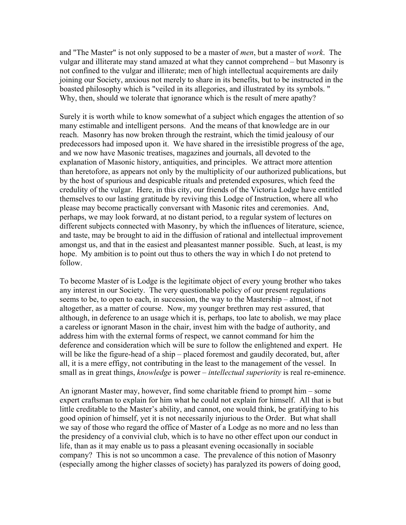and "The Master" is not only supposed to be a master of *men*, but a master of *work*. The vulgar and illiterate may stand amazed at what they cannot comprehend – but Masonry is not confined to the vulgar and illiterate; men of high intellectual acquirements are daily joining our Society, anxious not merely to share in its benefits, but to be instructed in the boasted philosophy which is "veiled in its allegories, and illustrated by its symbols. " Why, then, should we tolerate that ignorance which is the result of mere apathy?

Surely it is worth while to know somewhat of a subject which engages the attention of so many estimable and intelligent persons. And the means of that knowledge are in our reach. Masonry has now broken through the restraint, which the timid jealousy of our predecessors had imposed upon it. We have shared in the irresistible progress of the age, and we now have Masonic treatises, magazines and journals, all devoted to the explanation of Masonic history, antiquities, and principles. We attract more attention than heretofore, as appears not only by the multiplicity of our authorized publications, but by the host of spurious and despicable rituals and pretended exposures, which feed the credulity of the vulgar. Here, in this city, our friends of the Victoria Lodge have entitled themselves to our lasting gratitude by reviving this Lodge of Instruction, where all who please may become practically conversant with Masonic rites and ceremonies. And, perhaps, we may look forward, at no distant period, to a regular system of lectures on different subjects connected with Masonry, by which the influences of literature, science, and taste, may be brought to aid in the diffusion of rational and intellectual improvement amongst us, and that in the easiest and pleasantest manner possible. Such, at least, is my hope. My ambition is to point out thus to others the way in which I do not pretend to follow.

To become Master of is Lodge is the legitimate object of every young brother who takes any interest in our Society. The very questionable policy of our present regulations seems to be, to open to each, in succession, the way to the Mastership – almost, if not altogether, as a matter of course. Now, my younger brethren may rest assured, that although, in deference to an usage which it is, perhaps, too late to abolish, we may place a careless or ignorant Mason in the chair, invest him with the badge of authority, and address him with the external forms of respect, we cannot command for him the deference and consideration which will be sure to follow the enlightened and expert. He will be like the figure-head of a ship – placed foremost and gaudily decorated, but, after all, it is a mere effigy, not contributing in the least to the management of the vessel. In small as in great things, *knowledge* is power – *intellectual superiority* is real re-eminence.

An ignorant Master may, however, find some charitable friend to prompt him – some expert craftsman to explain for him what he could not explain for himself. All that is but little creditable to the Master's ability, and cannot, one would think, be gratifying to his good opinion of himself, yet it is not necessarily injurious to the Order. But what shall we say of those who regard the office of Master of a Lodge as no more and no less than the presidency of a convivial club, which is to have no other effect upon our conduct in life, than as it may enable us to pass a pleasant evening occasionally in sociable company? This is not so uncommon a case. The prevalence of this notion of Masonry (especially among the higher classes of society) has paralyzed its powers of doing good,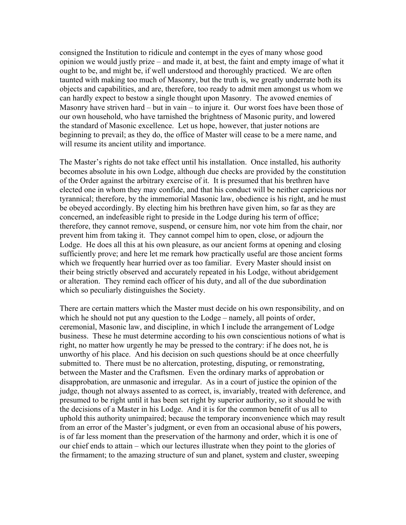consigned the Institution to ridicule and contempt in the eyes of many whose good opinion we would justly prize – and made it, at best, the faint and empty image of what it ought to be, and might be, if well understood and thoroughly practiced. We are often taunted with making too much of Masonry, but the truth is, we greatly underrate both its objects and capabilities, and are, therefore, too ready to admit men amongst us whom we can hardly expect to bestow a single thought upon Masonry. The avowed enemies of Masonry have striven hard – but in vain – to injure it. Our worst foes have been those of our own household, who have tarnished the brightness of Masonic purity, and lowered the standard of Masonic excellence. Let us hope, however, that juster notions are beginning to prevail; as they do, the office of Master will cease to be a mere name, and will resume its ancient utility and importance.

The Master's rights do not take effect until his installation. Once installed, his authority becomes absolute in his own Lodge, although due checks are provided by the constitution of the Order against the arbitrary exercise of it. It is presumed that his brethren have elected one in whom they may confide, and that his conduct will be neither capricious nor tyrannical; therefore, by the immemorial Masonic law, obedience is his right, and he must be obeyed accordingly. By electing him his brethren have given him, so far as they are concerned, an indefeasible right to preside in the Lodge during his term of office; therefore, they cannot remove, suspend, or censure him, nor vote him from the chair, nor prevent him from taking it. They cannot compel him to open, close, or adjourn the Lodge. He does all this at his own pleasure, as our ancient forms at opening and closing sufficiently prove; and here let me remark how practically useful are those ancient forms which we frequently hear hurried over as too familiar. Every Master should insist on their being strictly observed and accurately repeated in his Lodge, without abridgement or alteration. They remind each officer of his duty, and all of the due subordination which so peculiarly distinguishes the Society.

There are certain matters which the Master must decide on his own responsibility, and on which he should not put any question to the Lodge – namely, all points of order, ceremonial, Masonic law, and discipline, in which I include the arrangement of Lodge business. These he must determine according to his own conscientious notions of what is right, no matter how urgently he may be pressed to the contrary: if he does not, he is unworthy of his place. And his decision on such questions should be at once cheerfully submitted to. There must be no altercation, protesting, disputing, or remonstrating, between the Master and the Craftsmen. Even the ordinary marks of approbation or disapprobation, are unmasonic and irregular. As in a court of justice the opinion of the judge, though not always assented to as correct, is, invariably, treated with deference, and presumed to be right until it has been set right by superior authority, so it should be with the decisions of a Master in his Lodge. And it is for the common benefit of us all to uphold this authority unimpaired; because the temporary inconvenience which may result from an error of the Master's judgment, or even from an occasional abuse of his powers, is of far less moment than the preservation of the harmony and order, which it is one of our chief ends to attain – which our lectures illustrate when they point to the glories of the firmament; to the amazing structure of sun and planet, system and cluster, sweeping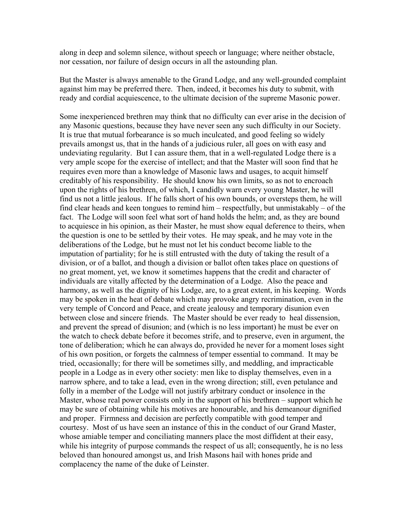along in deep and solemn silence, without speech or language; where neither obstacle, nor cessation, nor failure of design occurs in all the astounding plan.

But the Master is always amenable to the Grand Lodge, and any well-grounded complaint against him may be preferred there. Then, indeed, it becomes his duty to submit, with ready and cordial acquiescence, to the ultimate decision of the supreme Masonic power.

Some inexperienced brethren may think that no difficulty can ever arise in the decision of any Masonic questions, because they have never seen any such difficulty in our Society. It is true that mutual forbearance is so much inculcated, and good feeling so widely prevails amongst us, that in the hands of a judicious ruler, all goes on with easy and undeviating regularity. But I can assure them, that in a well-regulated Lodge there is a very ample scope for the exercise of intellect; and that the Master will soon find that he requires even more than a knowledge of Masonic laws and usages, to acquit himself creditably of his responsibility. He should know his own limits, so as not to encroach upon the rights of his brethren, of which, I candidly warn every young Master, he will find us not a little jealous. If he falls short of his own bounds, or oversteps them, he will find clear heads and keen tongues to remind him – respectfully, but unmistakably – of the fact. The Lodge will soon feel what sort of hand holds the helm; and, as they are bound to acquiesce in his opinion, as their Master, he must show equal deference to theirs, when the question is one to be settled by their votes. He may speak, and he may vote in the deliberations of the Lodge, but he must not let his conduct become liable to the imputation of partiality; for he is still entrusted with the duty of taking the result of a division, or of a ballot, and though a division or ballot often takes place on questions of no great moment, yet, we know it sometimes happens that the credit and character of individuals are vitally affected by the determination of a Lodge. Also the peace and harmony, as well as the dignity of his Lodge, are, to a great extent, in his keeping. Words may be spoken in the heat of debate which may provoke angry recrimination, even in the very temple of Concord and Peace, and create jealousy and temporary disunion even between close and sincere friends. The Master should be ever ready to heal dissension, and prevent the spread of disunion; and (which is no less important) he must be ever on the watch to check debate before it becomes strife, and to preserve, even in argument, the tone of deliberation; which he can always do, provided he never for a moment loses sight of his own position, or forgets the calmness of temper essential to command. It may be tried, occasionally; for there will be sometimes silly, and meddling, and impracticable people in a Lodge as in every other society: men like to display themselves, even in a narrow sphere, and to take a lead, even in the wrong direction; still, even petulance and folly in a member of the Lodge will not justify arbitrary conduct or insolence in the Master, whose real power consists only in the support of his brethren – support which he may be sure of obtaining while his motives are honourable, and his demeanour dignified and proper. Firmness and decision are perfectly compatible with good temper and courtesy. Most of us have seen an instance of this in the conduct of our Grand Master, whose amiable temper and conciliating manners place the most diffident at their easy, while his integrity of purpose commands the respect of us all; consequently, he is no less beloved than honoured amongst us, and Irish Masons hail with hones pride and complacency the name of the duke of Leinster.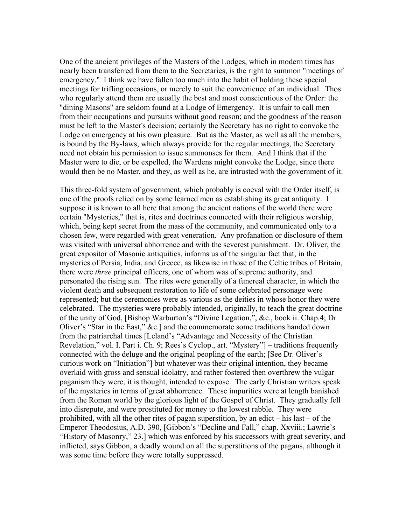One of the ancient privileges of the Masters of the Lodges, which in modern times has nearly been transferred from them to the Secretaries, is the right to summon "meetings of emergency." I think we have fallen too much into the habit of holding these special meetings for trifling occasions, or merely to suit the convenience of an individual. Thos who regularly attend them are usually the best and most conscientious of the Order: the "dining Masons" are seldom found at a Lodge of Emergency. It is unfair to call men from their occupations and pursuits without good reason; and the goodness of the reason must be left to the Master's decision; certainly the Secretary has no right to convoke the Lodge on emergency at his own pleasure. But as the Master, as well as all the members, is bound by the By-laws, which always provide for the regular meetings, the Secretary need not obtain his permission to issue summonses for them. And I think that if the Master were to die, or be expelled, the Wardens might convoke the Lodge, since there would then be no Master, and they, as well as he, are intrusted with the government of it.

This three-fold system of government, which probably is coeval with the Order itself, is one of the proofs relied on by some learned men as establishing its great antiquity. I suppose it is known to all here that among the ancient nations of the world there were certain "Mysteries," that is, rites and doctrines connected with their religious worship, which, being kept secret from the mass of the community, and communicated only to a chosen few, were regarded with great veneration. Any profanation or disclosure of them was visited with universal abhorrence and with the severest punishment. Dr. Oliver, the great expositor of Masonic antiquities, informs us of the singular fact that, in the mysteries of Persia, India, and Greece, as likewise in those of the Celtic tribes of Britain, there were *three* principal officers, one of whom was of supreme authority, and personated the rising sun. The rites were generally of a funereal character, in which the violent death and subsequent restoration to life of some celebrated personage were represented; but the ceremonies were as various as the deities in whose honor they were celebrated. The mysteries were probably intended, originally, to teach the great doctrine of the unity of God, [Bishop Warburton's "Divine Legation,", &c., book ii. Chap.4; Dr Oliver's "Star in the East," &c.] and the commemorate some traditions handed down from the patriarchal times [Leland's "Advantage and Necessity of the Christian Revelation," vol. I. Part i. Ch. 9; Rees's Cyclop., art. "Mystery"] – traditions frequently connected with the deluge and the original peopling of the earth; [See Dr. Oliver's curious work on "Initiation"] but whatever was their original intention, they became overlaid with gross and sensual idolatry, and rather fostered then overthrew the vulgar paganism they were, it is thought, intended to expose. The early Christian writers speak of the mysteries in terms of great abhorrence. These impurities were at length banished from the Roman world by the glorious light of the Gospel of Christ. They gradually fell into disrepute, and were prostituted for money to the lowest rabble. They were prohibited, with all the other rites of pagan superstition, by an edict – his last – of the Emperor Theodosius, A.D. 390, [Gibbon's "Decline and Fall," chap. Xxviii.; Lawrie's "History of Masonry," 23.] which was enforced by his successors with great severity, and inflicted, says Gibbon, a deadly wound on all the superstitions of the pagans, although it was some time before they were totally suppressed.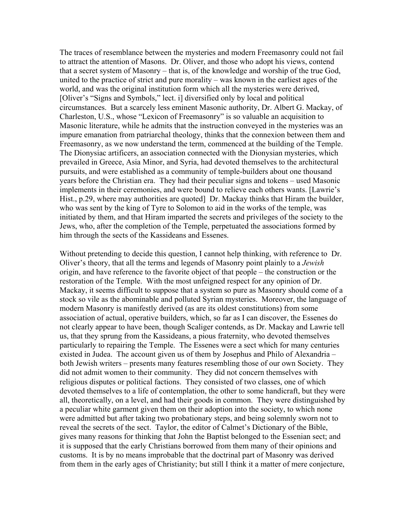The traces of resemblance between the mysteries and modern Freemasonry could not fail to attract the attention of Masons. Dr. Oliver, and those who adopt his views, contend that a secret system of Masonry – that is, of the knowledge and worship of the true God, united to the practice of strict and pure morality – was known in the earliest ages of the world, and was the original institution form which all the mysteries were derived, [Oliver's "Signs and Symbols," lect. i] diversified only by local and political circumstances. But a scarcely less eminent Masonic authority, Dr. Albert G. Mackay, of Charleston, U.S., whose "Lexicon of Freemasonry" is so valuable an acquisition to Masonic literature, while he admits that the instruction conveyed in the mysteries was an impure emanation from patriarchal theology, thinks that the connexion between them and Freemasonry, as we now understand the term, commenced at the building of the Temple. The Dionysiac artificers, an association connected with the Dionysian mysteries, which prevailed in Greece, Asia Minor, and Syria, had devoted themselves to the architectural pursuits, and were established as a community of temple-builders about one thousand years before the Christian era. They had their peculiar signs and tokens – used Masonic implements in their ceremonies, and were bound to relieve each others wants. [Lawrie's Hist., p.29, where may authorities are quoted] Dr. Mackay thinks that Hiram the builder, who was sent by the king of Tyre to Solomon to aid in the works of the temple, was initiated by them, and that Hiram imparted the secrets and privileges of the society to the Jews, who, after the completion of the Temple, perpetuated the associations formed by him through the sects of the Kassideans and Essenes.

Without pretending to decide this question, I cannot help thinking, with reference to Dr. Oliver's theory, that all the terms and legends of Masonry point plainly to a *Jewish* origin, and have reference to the favorite object of that people – the construction or the restoration of the Temple. With the most unfeigned respect for any opinion of Dr. Mackay, it seems difficult to suppose that a system so pure as Masonry should come of a stock so vile as the abominable and polluted Syrian mysteries. Moreover, the language of modern Masonry is manifestly derived (as are its oldest constitutions) from some association of actual, operative builders, which, so far as I can discover, the Essenes do not clearly appear to have been, though Scaliger contends, as Dr. Mackay and Lawrie tell us, that they sprung from the Kassideans, a pious fraternity, who devoted themselves particularly to repairing the Temple. The Essenes were a sect which for many centuries existed in Judea. The account given us of them by Josephus and Philo of Alexandria – both Jewish writers – presents many features resembling those of our own Society. They did not admit women to their community. They did not concern themselves with religious disputes or political factions. They consisted of two classes, one of which devoted themselves to a life of contemplation, the other to some handicraft, but they were all, theoretically, on a level, and had their goods in common. They were distinguished by a peculiar white garment given them on their adoption into the society, to which none were admitted but after taking two probationary steps, and being solemnly sworn not to reveal the secrets of the sect. Taylor, the editor of Calmet's Dictionary of the Bible, gives many reasons for thinking that John the Baptist belonged to the Essenian sect; and it is supposed that the early Christians borrowed from them many of their opinions and customs. It is by no means improbable that the doctrinal part of Masonry was derived from them in the early ages of Christianity; but still I think it a matter of mere conjecture,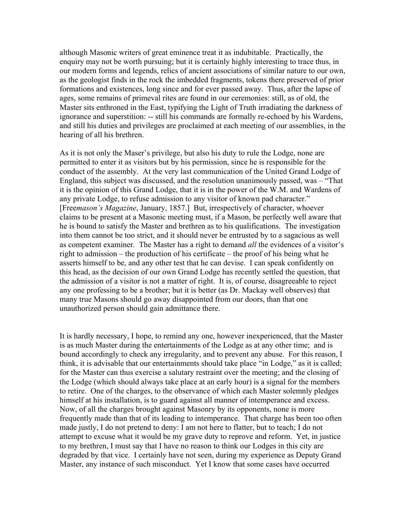although Masonic writers of great eminence treat it as indubitable. Practically, the enquiry may not be worth pursuing; but it is certainly highly interesting to trace thus, in our modern forms and legends, relics of ancient associations of similar nature to our own, as the geologist finds in the rock the imbedded fragments, tokens there preserved of prior formations and existences, long since and for ever passed away. Thus, after the lapse of ages, some remains of primeval rites are found in our ceremonies: still, as of old, the Master sits enthroned in the East, typifying the Light of Truth irradiating the darkness of ignorance and superstition: -- still his commands are formally re-echoed by his Wardens, and still his duties and privileges are proclaimed at each meeting of our assemblies, in the hearing of all his brethren.

As it is not only the Maser's privilege, but also his duty to rule the Lodge, none are permitted to enter it as visitors but by his permission, since he is responsible for the conduct of the assembly. At the very last communication of the United Grand Lodge of England, this subject was discussed, and the resolution unanimously passed, was – "That it is the opinion of this Grand Lodge, that it is in the power of the W.M. and Wardens of any private Lodge, to refuse admission to any visitor of known pad character." [Free*mason's Magazine*, January, 1857.] But, irrespectively of character, whoever claims to be present at a Masonic meeting must, if a Mason, be perfectly well aware that he is bound to satisfy the Master and brethren as to his qualifications. The investigation into them cannot be too strict, and it should never be entrusted by to a sagacious as well as competent examiner. The Master has a right to demand *all* the evidences of a visitor's right to admission – the production of his certificate – the proof of his being what he asserts himself to be, and any other test that he can devise. I can speak confidently on this head, as the decision of our own Grand Lodge has recently settled the question, that the admission of a visitor is not a matter of right. It is, of course, disagreeable to reject any one professing to be a brother; but it is better (as Dr. Mackay well observes) that many true Masons should go away disappointed from our doors, than that one unauthorized person should gain admittance there.

It is hardly necessary, I hope, to remind any one, however inexperienced, that the Master is as much Master during the entertainments of the Lodge as at any other time; and is bound accordingly to check any irregularity, and to prevent any abuse. For this reason, I think, it is advisable that our entertainments should take place "in Lodge," as it is called; for the Master can thus exercise a salutary restraint over the meeting; and the closing of the Lodge (which should always take place at an early hour) is a signal for the members to retire. One of the charges, to the observance of which each Master solemnly pledges himself at his installation, is to guard against all manner of intemperance and excess. Now, of all the charges brought against Masonry by its opponents, none is more frequently made than that of its leading to intemperance. That charge has been too often made justly, I do not pretend to deny: I am not here to flatter, but to teach; I do not attempt to excuse what it would be my grave duty to reprove and reform. Yet, in justice to my brethren, I must say that I have no reason to think our Lodges in this city are degraded by that vice. I certainly have not seen, during my experience as Deputy Grand Master, any instance of such misconduct. Yet I know that some cases have occurred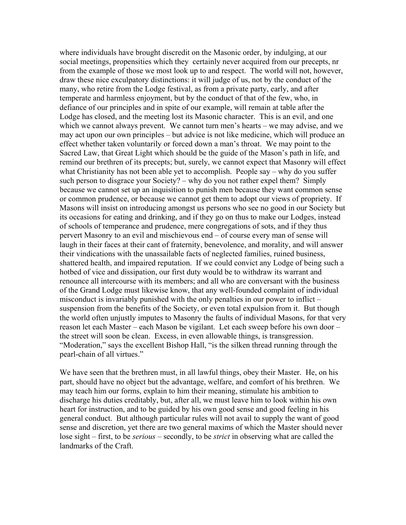where individuals have brought discredit on the Masonic order, by indulging, at our social meetings, propensities which they certainly never acquired from our precepts, nr from the example of those we most look up to and respect. The world will not, however, draw these nice exculpatory distinctions: it will judge of us, not by the conduct of the many, who retire from the Lodge festival, as from a private party, early, and after temperate and harmless enjoyment, but by the conduct of that of the few, who, in defiance of our principles and in spite of our example, will remain at table after the Lodge has closed, and the meeting lost its Masonic character. This is an evil, and one which we cannot always prevent. We cannot turn men's hearts – we may advise, and we may act upon our own principles – but advice is not like medicine, which will produce an effect whether taken voluntarily or forced down a man's throat. We may point to the Sacred Law, that Great Light which should be the guide of the Mason's path in life, and remind our brethren of its precepts; but, surely, we cannot expect that Masonry will effect what Christianity has not been able yet to accomplish. People say – why do you suffer such person to disgrace your Society? – why do you not rather expel them? Simply because we cannot set up an inquisition to punish men because they want common sense or common prudence, or because we cannot get them to adopt our views of propriety. If Masons will insist on introducing amongst us persons who see no good in our Society but its occasions for eating and drinking, and if they go on thus to make our Lodges, instead of schools of temperance and prudence, mere congregations of sots, and if they thus pervert Masonry to an evil and mischievous end – of course every man of sense will laugh in their faces at their cant of fraternity, benevolence, and morality, and will answer their vindications with the unassailable facts of neglected families, ruined business, shattered health, and impaired reputation. If we could convict any Lodge of being such a hotbed of vice and dissipation, our first duty would be to withdraw its warrant and renounce all intercourse with its members; and all who are conversant with the business of the Grand Lodge must likewise know, that any well-founded complaint of individual misconduct is invariably punished with the only penalties in our power to inflict – suspension from the benefits of the Society, or even total expulsion from it. But though the world often unjustly imputes to Masonry the faults of individual Masons, for that very reason let each Master – each Mason be vigilant. Let each sweep before his own door – the street will soon be clean. Excess, in even allowable things, is transgression. "Moderation," says the excellent Bishop Hall, "is the silken thread running through the pearl-chain of all virtues."

We have seen that the brethren must, in all lawful things, obey their Master. He, on his part, should have no object but the advantage, welfare, and comfort of his brethren. We may teach him our forms, explain to him their meaning, stimulate his ambition to discharge his duties creditably, but, after all, we must leave him to look within his own heart for instruction, and to be guided by his own good sense and good feeling in his general conduct. But although particular rules will not avail to supply the want of good sense and discretion, yet there are two general maxims of which the Master should never lose sight – first, to be *serious* – secondly, to be *strict* in observing what are called the landmarks of the Craft.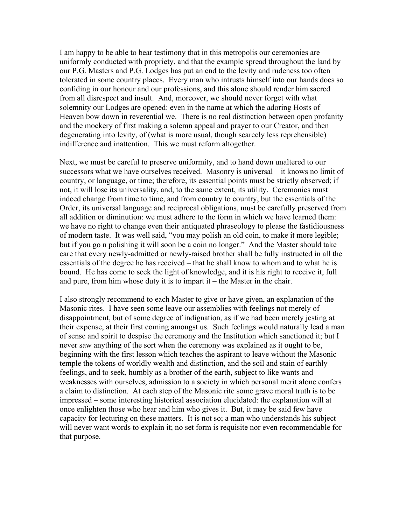I am happy to be able to bear testimony that in this metropolis our ceremonies are uniformly conducted with propriety, and that the example spread throughout the land by our P.G. Masters and P.G. Lodges has put an end to the levity and rudeness too often tolerated in some country places. Every man who intrusts himself into our hands does so confiding in our honour and our professions, and this alone should render him sacred from all disrespect and insult. And, moreover, we should never forget with what solemnity our Lodges are opened: even in the name at which the adoring Hosts of Heaven bow down in reverential we. There is no real distinction between open profanity and the mockery of first making a solemn appeal and prayer to our Creator, and then degenerating into levity, of (what is more usual, though scarcely less reprehensible) indifference and inattention. This we must reform altogether.

Next, we must be careful to preserve uniformity, and to hand down unaltered to our successors what we have ourselves received. Masonry is universal – it knows no limit of country, or language, or time; therefore, its essential points must be strictly observed; if not, it will lose its universality, and, to the same extent, its utility. Ceremonies must indeed change from time to time, and from country to country, but the essentials of the Order, its universal language and reciprocal obligations, must be carefully preserved from all addition or diminution: we must adhere to the form in which we have learned them: we have no right to change even their antiquated phraseology to please the fastidiousness of modern taste. It was well said, "you may polish an old coin, to make it more legible; but if you go n polishing it will soon be a coin no longer." And the Master should take care that every newly-admitted or newly-raised brother shall be fully instructed in all the essentials of the degree he has received – that he shall know to whom and to what he is bound. He has come to seek the light of knowledge, and it is his right to receive it, full and pure, from him whose duty it is to impart it – the Master in the chair.

I also strongly recommend to each Master to give or have given, an explanation of the Masonic rites. I have seen some leave our assemblies with feelings not merely of disappointment, but of some degree of indignation, as if we had been merely jesting at their expense, at their first coming amongst us. Such feelings would naturally lead a man of sense and spirit to despise the ceremony and the Institution which sanctioned it; but I never saw anything of the sort when the ceremony was explained as it ought to be, beginning with the first lesson which teaches the aspirant to leave without the Masonic temple the tokens of worldly wealth and distinction, and the soil and stain of earthly feelings, and to seek, humbly as a brother of the earth, subject to like wants and weaknesses with ourselves, admission to a society in which personal merit alone confers a claim to distinction. At each step of the Masonic rite some grave moral truth is to be impressed – some interesting historical association elucidated: the explanation will at once enlighten those who hear and him who gives it. But, it may be said few have capacity for lecturing on these matters. It is not so; a man who understands his subject will never want words to explain it; no set form is requisite nor even recommendable for that purpose.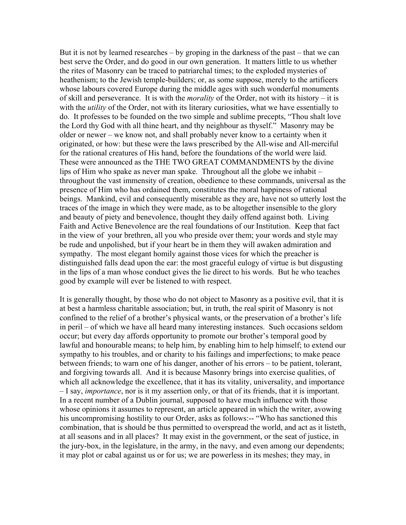But it is not by learned researches – by groping in the darkness of the past – that we can best serve the Order, and do good in our own generation. It matters little to us whether the rites of Masonry can be traced to patriarchal times; to the exploded mysteries of heathenism; to the Jewish temple-builders; or, as some suppose, merely to the artificers whose labours covered Europe during the middle ages with such wonderful monuments of skill and perseverance. It is with the *morality* of the Order, not with its history – it is with the *utility* of the Order, not with its literary curiosities, what we have essentially to do. It professes to be founded on the two simple and sublime precepts, "Thou shalt love the Lord thy God with all thine heart, and thy neighbour as thyself." Masonry may be older or newer – we know not, and shall probably never know to a certainty when it originated, or how: but these were the laws prescribed by the All-wise and All-merciful for the rational creatures of His hand, before the foundations of the world were laid. These were announced as the THE TWO GREAT COMMANDMENTS by the divine lips of Him who spake as never man spake. Throughout all the globe we inhabit – throughout the vast immensity of creation, obedience to these commands, universal as the presence of Him who has ordained them, constitutes the moral happiness of rational beings. Mankind, evil and consequently miserable as they are, have not so utterly lost the traces of the image in which they were made, as to be altogether insensible to the glory and beauty of piety and benevolence, thought they daily offend against both. Living Faith and Active Benevolence are the real foundations of our Institution. Keep that fact in the view of your brethren, all you who preside over them; your words and style may be rude and unpolished, but if your heart be in them they will awaken admiration and sympathy. The most elegant homily against those vices for which the preacher is distinguished falls dead upon the ear: the most graceful eulogy of virtue is but disgusting in the lips of a man whose conduct gives the lie direct to his words. But he who teaches good by example will ever be listened to with respect.

It is generally thought, by those who do not object to Masonry as a positive evil, that it is at best a harmless charitable association; but, in truth, the real spirit of Masonry is not confined to the relief of a brother's physical wants, or the preservation of a brother's life in peril – of which we have all heard many interesting instances. Such occasions seldom occur; but every day affords opportunity to promote our brother's temporal good by lawful and honourable means; to help him, by enabling him to help himself; to extend our sympathy to his troubles, and or charity to his failings and imperfections; to make peace between friends; to warn one of his danger, another of his errors – to be patient, tolerant, and forgiving towards all. And it is because Masonry brings into exercise qualities, of which all acknowledge the excellence, that it has its vitality, universality, and importance – I say, *importance*, nor is it my assertion only, or that of its friends, that it is important. In a recent number of a Dublin journal, supposed to have much influence with those whose opinions it assumes to represent, an article appeared in which the writer, avowing his uncompromising hostility to our Order, asks as follows:-- "Who has sanctioned this combination, that is should be thus permitted to overspread the world, and act as it listeth, at all seasons and in all places? It may exist in the government, or the seat of justice, in the jury-box, in the legislature, in the army, in the navy, and even among our dependents; it may plot or cabal against us or for us; we are powerless in its meshes; they may, in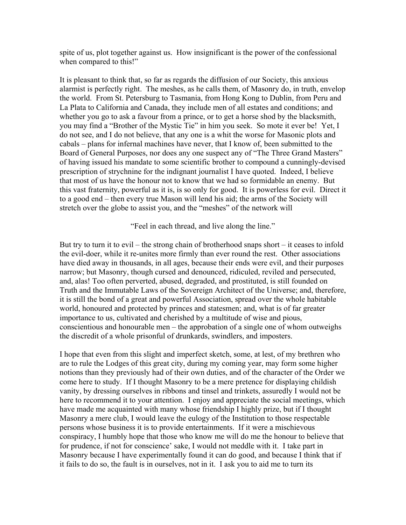spite of us, plot together against us. How insignificant is the power of the confessional when compared to this!"

It is pleasant to think that, so far as regards the diffusion of our Society, this anxious alarmist is perfectly right. The meshes, as he calls them, of Masonry do, in truth, envelop the world. From St. Petersburg to Tasmania, from Hong Kong to Dublin, from Peru and La Plata to California and Canada, they include men of all estates and conditions; and whether you go to ask a favour from a prince, or to get a horse shod by the blacksmith, you may find a "Brother of the Mystic Tie" in him you seek. So mote it ever be! Yet, I do not see, and I do not believe, that any one is a whit the worse for Masonic plots and cabals – plans for infernal machines have never, that I know of, been submitted to the Board of General Purposes, nor does any one suspect any of "The Three Grand Masters" of having issued his mandate to some scientific brother to compound a cunningly-devised prescription of strychnine for the indignant journalist I have quoted. Indeed, I believe that most of us have the honour not to know that we had so formidable an enemy. But this vast fraternity, powerful as it is, is so only for good. It is powerless for evil. Direct it to a good end – then every true Mason will lend his aid; the arms of the Society will stretch over the globe to assist you, and the "meshes" of the network will

"Feel in each thread, and live along the line."

But try to turn it to evil – the strong chain of brotherhood snaps short – it ceases to infold the evil-doer, while it re-unites more firmly than ever round the rest. Other associations have died away in thousands, in all ages, because their ends were evil, and their purposes narrow; but Masonry, though cursed and denounced, ridiculed, reviled and persecuted, and, alas! Too often perverted, abused, degraded, and prostituted, is still founded on Truth and the Immutable Laws of the Sovereign Architect of the Universe; and, therefore, it is still the bond of a great and powerful Association, spread over the whole habitable world, honoured and protected by princes and statesmen; and, what is of far greater importance to us, cultivated and cherished by a multitude of wise and pious, conscientious and honourable men – the approbation of a single one of whom outweighs the discredit of a whole prisonful of drunkards, swindlers, and imposters.

I hope that even from this slight and imperfect sketch, some, at lest, of my brethren who are to rule the Lodges of this great city, during my coming year, may form some higher notions than they previously had of their own duties, and of the character of the Order we come here to study. If I thought Masonry to be a mere pretence for displaying childish vanity, by dressing ourselves in ribbons and tinsel and trinkets, assuredly I would not be here to recommend it to your attention. I enjoy and appreciate the social meetings, which have made me acquainted with many whose friendship I highly prize, but if I thought Masonry a mere club, I would leave the eulogy of the Institution to those respectable persons whose business it is to provide entertainments. If it were a mischievous conspiracy, I humbly hope that those who know me will do me the honour to believe that for prudence, if not for conscience' sake, I would not meddle with it. I take part in Masonry because I have experimentally found it can do good, and because I think that if it fails to do so, the fault is in ourselves, not in it. I ask you to aid me to turn its